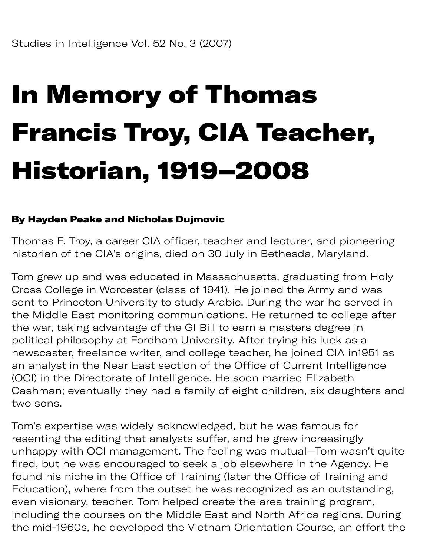## In Memory of Thomas Francis Troy, CIA Teacher, Historian, 1919–2008

## By Hayden Peake and Nicholas Dujmovic

Thomas F. Troy, a career CIA officer, teacher and lecturer, and pioneering historian of the CIA's origins, died on 30 July in Bethesda, Maryland.

Tom grew up and was educated in Massachusetts, graduating from Holy Cross College in Worcester (class of 1941). He joined the Army and was sent to Princeton University to study Arabic. During the war he served in the Middle East monitoring communications. He returned to college after the war, taking advantage of the GI Bill to earn a masters degree in political philosophy at Fordham University. After trying his luck as a newscaster, freelance writer, and college teacher, he joined CIA in1951 as an analyst in the Near East section of the Office of Current Intelligence (OCI) in the Directorate of Intelligence. He soon married Elizabeth Cashman; eventually they had a family of eight children, six daughters and two sons.

Tom's expertise was widely acknowledged, but he was famous for resenting the editing that analysts suffer, and he grew increasingly unhappy with OCI management. The feeling was mutual—Tom wasn't quite fired, but he was encouraged to seek a job elsewhere in the Agency. He found his niche in the Office of Training (later the Office of Training and Education), where from the outset he was recognized as an outstanding, even visionary, teacher. Tom helped create the area training program, including the courses on the Middle East and North Africa regions. During the mid-1960s, he developed the Vietnam Orientation Course, an effort the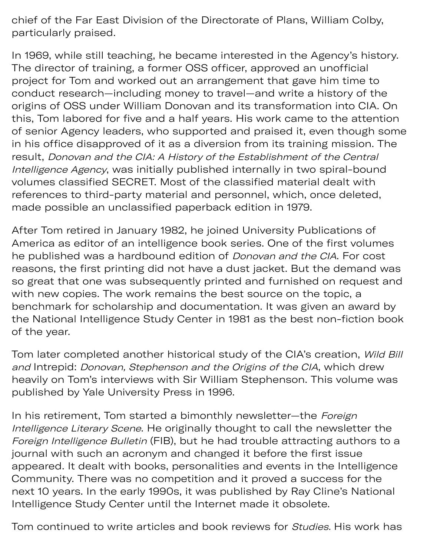chief of the Far East Division of the Directorate of Plans, William Colby, particularly praised.

the mid-1960s, he developed the Vietnam Orientation Course, an effort the

In 1969, while still teaching, he became interested in the Agency's history. The director of training, a former OSS officer, approved an unofficial project for Tom and worked out an arrangement that gave him time to conduct research—including money to travel—and write a history of the origins of OSS under William Donovan and its transformation into CIA. On this, Tom labored for five and a half years. His work came to the attention of senior Agency leaders, who supported and praised it, even though some in his office disapproved of it as a diversion from its training mission. The result, Donovan and the CIA: A History of the Establishment of the Central Intelligence Agency, was initially published internally in two spiral-bound volumes classified SECRET. Most of the classified material dealt with references to third-party material and personnel, which, once deleted, made possible an unclassified paperback edition in 1979.

After Tom retired in January 1982, he joined University Publications of America as editor of an intelligence book series. One of the first volumes he published was a hardbound edition of *Donovan and the CIA*. For cost reasons, the first printing did not have a dust jacket. But the demand was so great that one was subsequently printed and furnished on request and with new copies. The work remains the best source on the topic, a benchmark for scholarship and documentation. It was given an award by the National Intelligence Study Center in 1981 as the best non-fiction book of the year.

Tom later completed another historical study of the CIA's creation, Wild Bill and Intrepid: Donovan, Stephenson and the Origins of the CIA, which drew heavily on Tom's interviews with Sir William Stephenson. This volume was published by Yale University Press in 1996.

In his retirement, Tom started a bimonthly newsletter-the Foreign Intelligence Literary Scene. He originally thought to call the newsletter the Foreign Intelligence Bulletin (FIB), but he had trouble attracting authors to a journal with such an acronym and changed it before the first issue appeared. It dealt with books, personalities and events in the Intelligence Community. There was no competition and it proved a success for the next 10 years. In the early 1990s, it was published by Ray Cline's National Intelligence Study Center until the Internet made it obsolete.

Tom continued to write articles and book reviews for Studies. His work has